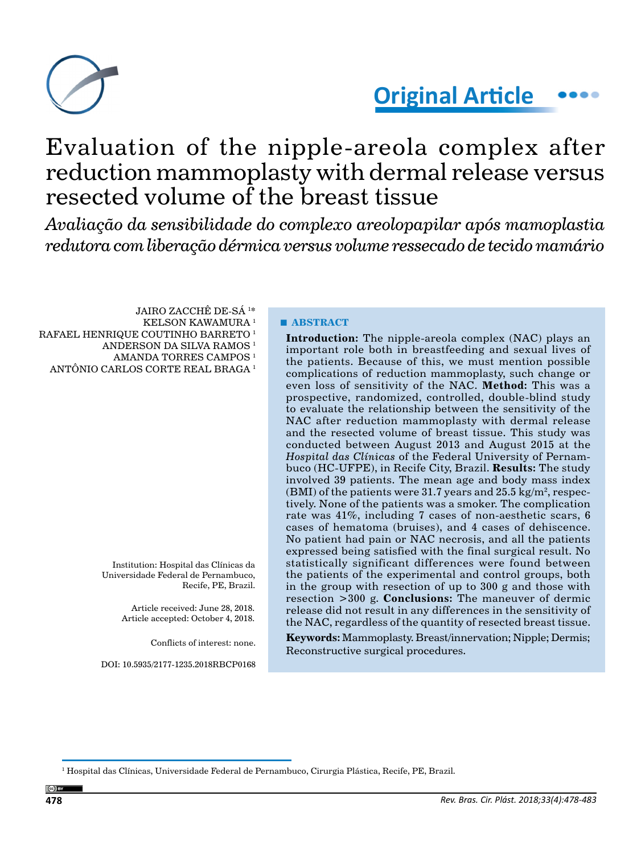

# **Original Article**

# Evaluation of the nipple-areola complex after reduction mammoplasty with dermal release versus resected volume of the breast tissue

*Avaliação da sensibilidade do complexo areolopapilar após mamoplastia redutora com liberação dérmica versus volume ressecado de tecido mamário*

JAIRO ZACCHÊ DE-SÁ 1 \* KELSON KAWAMURA 1 RAFAEL HENRIQUE COUTINHO BARRETO 1 ANDERSON DA SILVA RAMOS 1 AMANDA TORRES CAMPOS 1 ANTÔNIO CARLOS CORTE REAL BRAGA 1

> Institution: Hospital das Clínicas da Universidade Federal de Pernambuco, Recife, PE, Brazil.

> > Article received: June 28, 2018. Article accepted: October 4, 2018.

> > > Conflicts of interest: none.

DOI: 10.5935/2177-1235.2018RBCP0168

# **■ ABSTRACT**

**Introduction:** The nipple-areola complex (NAC) plays an important role both in breastfeeding and sexual lives of the patients. Because of this, we must mention possible complications of reduction mammoplasty, such change or even loss of sensitivity of the NAC. **Method:** This was a prospective, randomized, controlled, double-blind study to evaluate the relationship between the sensitivity of the NAC after reduction mammoplasty with dermal release and the resected volume of breast tissue. This study was conducted between August 2013 and August 2015 at the *Hospital das Clínicas* of the Federal University of Pernambuco (HC-UFPE), in Recife City, Brazil. **Results:** The study involved 39 patients. The mean age and body mass index (BMI) of the patients were  $31.7$  years and  $25.5$  kg/m², respectively. None of the patients was a smoker. The complication rate was 41%, including 7 cases of non-aesthetic scars, 6 cases of hematoma (bruises), and 4 cases of dehiscence. No patient had pain or NAC necrosis, and all the patients expressed being satisfied with the final surgical result. No statistically significant differences were found between the patients of the experimental and control groups, both in the group with resection of up to 300 g and those with resection >300 g. **Conclusions:** The maneuver of dermic release did not result in any differences in the sensitivity of the NAC, regardless of the quantity of resected breast tissue.

**Keywords:** Mammoplasty. Breast/innervation; Nipple; Dermis; Reconstructive surgical procedures.

<sup>&</sup>lt;sup>1</sup> Hospital das Clínicas, Universidade Federal de Pernambuco, Cirurgia Plástica, Recife, PE, Brazil.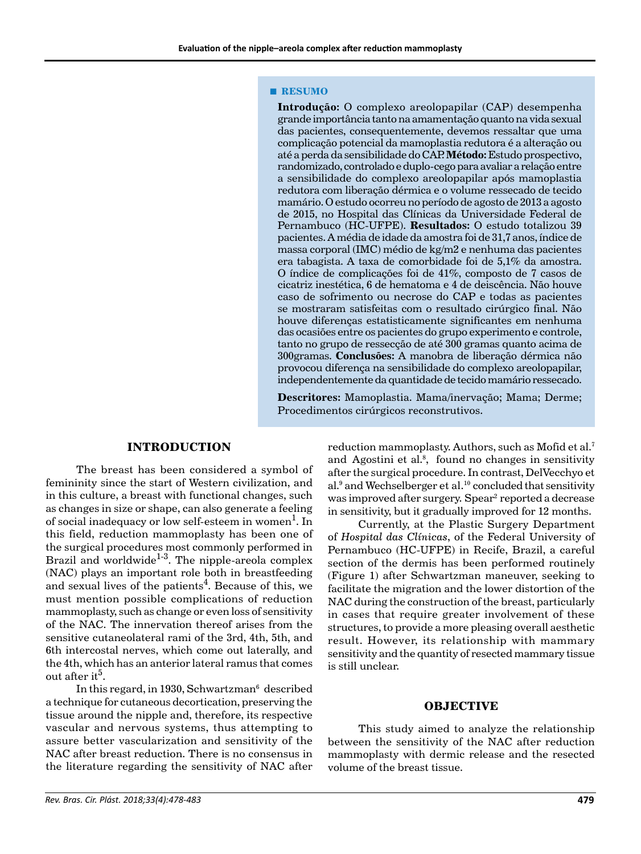#### **■ RESUMO**

**Introdução:** O complexo areolopapilar (CAP) desempenha grande importância tanto na amamentação quanto na vida sexual das pacientes, consequentemente, devemos ressaltar que uma complicação potencial da mamoplastia redutora é a alteração ou até a perda da sensibilidade do CAP. **Método:** Estudo prospectivo, randomizado, controlado e duplo-cego para avaliar a relação entre a sensibilidade do complexo areolopapilar após mamoplastia redutora com liberação dérmica e o volume ressecado de tecido mamário. O estudo ocorreu no período de agosto de 2013 a agosto de 2015, no Hospital das Clínicas da Universidade Federal de Pernambuco (HC-UFPE). **Resultados:** O estudo totalizou 39 pacientes. A média de idade da amostra foi de 31,7 anos, índice de massa corporal (IMC) médio de kg/m2 e nenhuma das pacientes era tabagista. A taxa de comorbidade foi de 5,1% da amostra. O índice de complicações foi de 41%, composto de 7 casos de cicatriz inestética, 6 de hematoma e 4 de deiscência. Não houve caso de sofrimento ou necrose do CAP e todas as pacientes se mostraram satisfeitas com o resultado cirúrgico final. Não houve diferenças estatisticamente significantes em nenhuma das ocasiões entre os pacientes do grupo experimento e controle, tanto no grupo de ressecção de até 300 gramas quanto acima de 300gramas. **Conclusões:** A manobra de liberação dérmica não provocou diferença na sensibilidade do complexo areolopapilar, independentemente da quantidade de tecido mamário ressecado.

**Descritores:** Mamoplastia. Mama/inervação; Mama; Derme; Procedimentos cirúrgicos reconstrutivos.

# **INTRODUCTION**

The breast has been considered a symbol of femininity since the start of Western civilization, and in this culture, a breast with functional changes, such as changes in size or shape, can also generate a feeling of social inadequacy or low self-esteem in women<sup>1</sup>. In this field, reduction mammoplasty has been one of the surgical procedures most commonly performed in Brazil and worldwide $1-3$ . The nipple-areola complex (NAC) plays an important role both in breastfeeding and sexual lives of the patients<sup>4</sup>. Because of this, we must mention possible complications of reduction mammoplasty, such as change or even loss of sensitivity of the NAC. The innervation thereof arises from the sensitive cutaneolateral rami of the 3rd, 4th, 5th, and 6th intercostal nerves, which come out laterally, and the 4th, which has an anterior lateral ramus that comes out after it<sup>5</sup>.

In this regard, in 1930, Schwartzman<sup>6</sup> described a technique for cutaneous decortication, preserving the tissue around the nipple and, therefore, its respective vascular and nervous systems, thus attempting to assure better vascularization and sensitivity of the NAC after breast reduction. There is no consensus in the literature regarding the sensitivity of NAC after

reduction mammoplasty. Authors, such as Mofid et al.7 and Agostini et al.<sup>8</sup>, found no changes in sensitivity after the surgical procedure. In contrast, DelVecchyo et al.<sup>9</sup> and Wechselberger et al.<sup>10</sup> concluded that sensitivity was improved after surgery. Spear<sup>2</sup> reported a decrease in sensitivity, but it gradually improved for 12 months.

Currently, at the Plastic Surgery Department of *Hospital das Clínicas*, of the Federal University of Pernambuco (HC-UFPE) in Recife, Brazil, a careful section of the dermis has been performed routinely (Figure 1) after Schwartzman maneuver, seeking to facilitate the migration and the lower distortion of the NAC during the construction of the breast, particularly in cases that require greater involvement of these structures, to provide a more pleasing overall aesthetic result. However, its relationship with mammary sensitivity and the quantity of resected mammary tissue is still unclear.

## **OBJECTIVE**

This study aimed to analyze the relationship between the sensitivity of the NAC after reduction mammoplasty with dermic release and the resected volume of the breast tissue.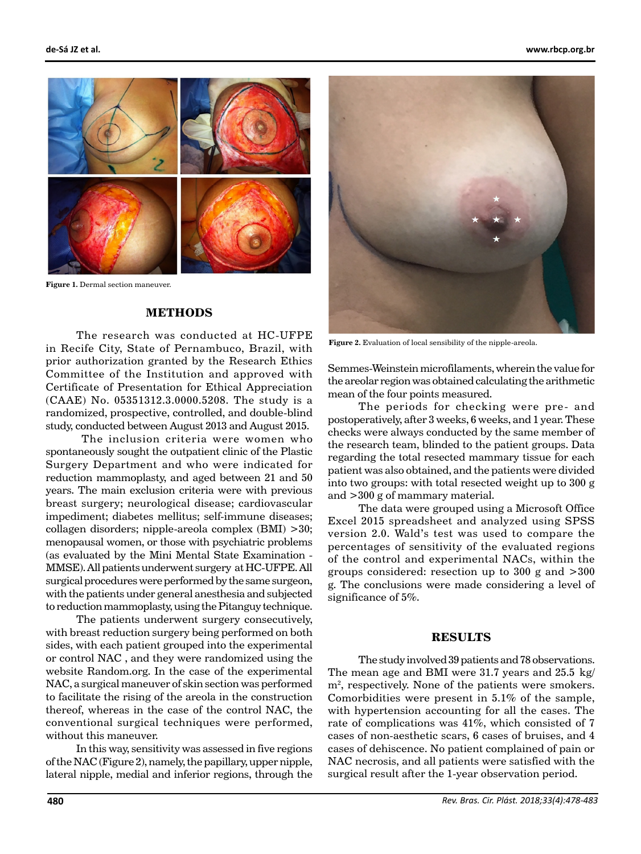

**Figure 1.** Dermal section maneuver.

#### **METHODS**

The research was conducted at HC-UFPE in Recife City, State of Pernambuco, Brazil, with prior authorization granted by the Research Ethics Committee of the Institution and approved with Certificate of Presentation for Ethical Appreciation (CAAE) No. 05351312.3.0000.5208. The study is a randomized, prospective, controlled, and double-blind study, conducted between August 2013 and August 2015.

 The inclusion criteria were women who spontaneously sought the outpatient clinic of the Plastic Surgery Department and who were indicated for reduction mammoplasty, and aged between 21 and 50 years. The main exclusion criteria were with previous breast surgery; neurological disease; cardiovascular impediment; diabetes mellitus; self-immune diseases; collagen disorders; nipple-areola complex (BMI) >30; menopausal women, or those with psychiatric problems (as evaluated by the Mini Mental State Examination - MMSE). All patients underwent surgery at HC-UFPE. All surgical procedures were performed by the same surgeon, with the patients under general anesthesia and subjected to reduction mammoplasty, using the Pitanguy technique.

The patients underwent surgery consecutively, with breast reduction surgery being performed on both sides, with each patient grouped into the experimental or control NAC , and they were randomized using the website Random.org. In the case of the experimental NAC, a surgical maneuver of skin section was performed to facilitate the rising of the areola in the construction thereof, whereas in the case of the control NAC, the conventional surgical techniques were performed, without this maneuver.

In this way, sensitivity was assessed in five regions of the NAC (Figure 2), namely, the papillary, upper nipple, lateral nipple, medial and inferior regions, through the



**Figure 2.** Evaluation of local sensibility of the nipple-areola.

Semmes-Weinstein microfilaments, wherein the value for the areolar region was obtained calculating the arithmetic mean of the four points measured.

The periods for checking were pre- and postoperatively, after 3 weeks, 6 weeks, and 1 year. These checks were always conducted by the same member of the research team, blinded to the patient groups. Data regarding the total resected mammary tissue for each patient was also obtained, and the patients were divided into two groups: with total resected weight up to 300 g and >300 g of mammary material.

The data were grouped using a Microsoft Office Excel 2015 spreadsheet and analyzed using SPSS version 2.0. Wald's test was used to compare the percentages of sensitivity of the evaluated regions of the control and experimental NACs, within the groups considered: resection up to 300 g and >300 g. The conclusions were made considering a level of significance of 5%.

#### **RESULTS**

The study involved 39 patients and 78 observations. The mean age and BMI were 31.7 years and 25.5 kg/ m2 , respectively. None of the patients were smokers. Comorbidities were present in 5.1% of the sample, with hypertension accounting for all the cases. The rate of complications was  $41\%$ , which consisted of 7 cases of non-aesthetic scars, 6 cases of bruises, and 4 cases of dehiscence. No patient complained of pain or NAC necrosis, and all patients were satisfied with the surgical result after the 1-year observation period.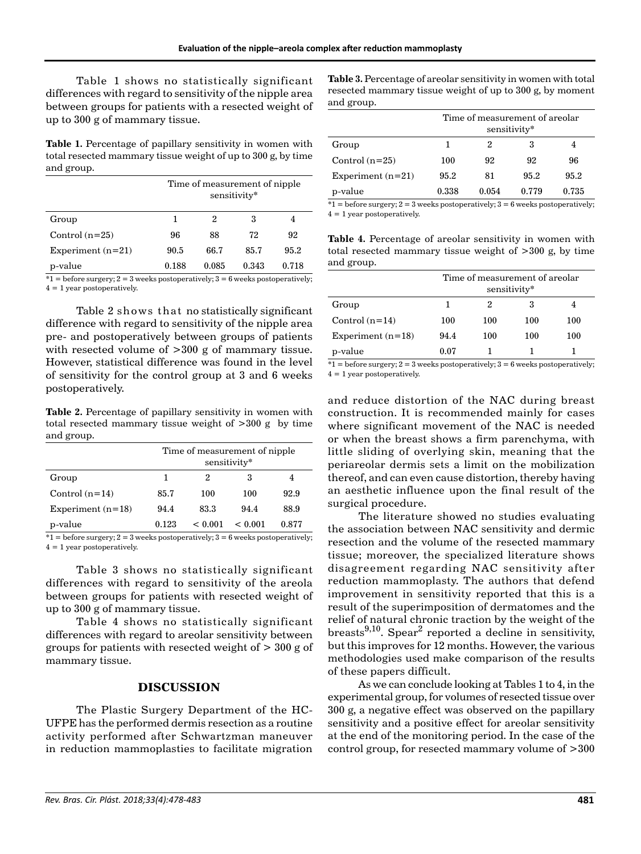Table 1 shows no statistically significant differences with regard to sensitivity of the nipple area between groups for patients with a resected weight of up to 300 g of mammary tissue.

**Table 1.** Percentage of papillary sensitivity in women with total resected mammary tissue weight of up to 300 g, by time and group.

| Group               | Time of measurement of nipple<br>sensitivity* |       |       |       |
|---------------------|-----------------------------------------------|-------|-------|-------|
|                     | 1                                             | 2     | 3     |       |
| Control $(n=25)$    | 96                                            | 88    | 72    | 92    |
| Experiment $(n=21)$ | 90.5                                          | 66.7  | 85.7  | 95.2  |
| p-value             | 0.188                                         | 0.085 | 0.343 | 0.718 |

 $*1 = \text{before surgery}; 2 = 3 \text{ weeks postoperative}$  $; 3 = 6 \text{ weeks postoperative}$  $4 = 1$  year postoperatively.

Table 2 shows that no statistically significant difference with regard to sensitivity of the nipple area pre- and postoperatively between groups of patients with resected volume of  $>300$  g of mammary tissue. However, statistical difference was found in the level of sensitivity for the control group at 3 and 6 weeks postoperatively.

**Table 2.** Percentage of papillary sensitivity in women with total resected mammary tissue weight of >300 g by time and group.

|                     | Time of measurement of nipple<br>sensitivity* |         |              |       |
|---------------------|-----------------------------------------------|---------|--------------|-------|
| Group               | 1                                             | 2       | 3            |       |
| Control $(n=14)$    | 85.7                                          | 100     | 100          | 92.9  |
| Experiment $(n=18)$ | 94.4                                          | 83.3    | 94.4         | 88.9  |
| p-value             | 0.123                                         | < 0.001 | ${}_{0.001}$ | 0.877 |

 $*1 = \text{before surgery}; 2 = 3 \text{ weeks postoperative}$  $; 3 = 6 \text{ weeks postoperative}$  $4 = 1$  year postoperatively.

Table 3 shows no statistically significant differences with regard to sensitivity of the areola between groups for patients with resected weight of up to 300 g of mammary tissue.

Table 4 shows no statistically significant differences with regard to areolar sensitivity between groups for patients with resected weight of > 300 g of mammary tissue.

# **DISCUSSION**

The Plastic Surgery Department of the HC-UFPE has the performed dermis resection as a routine activity performed after Schwartzman maneuver in reduction mammoplasties to facilitate migration

**Table 3.** Percentage of areolar sensitivity in women with total resected mammary tissue weight of up to 300 g, by moment and group.

|                     | Time of measurement of areolar<br>sensitivity* |       |       |       |
|---------------------|------------------------------------------------|-------|-------|-------|
| Group               |                                                | 2     | 3     |       |
| Control $(n=25)$    | 100                                            | 92    | 92    | 96    |
| Experiment $(n=21)$ | 95.2                                           | 81    | 95.2  | 95.2  |
| p-value             | 0.338                                          | 0.054 | 0.779 | 0.735 |

 $*1 = \text{before surgery}; 2 = 3 \text{ weeks postoperative}$  $; 3 = 6 \text{ weeks postoperative}$  $4 = 1$  year postoperatively.

**Table 4.** Percentage of areolar sensitivity in women with total resected mammary tissue weight of >300 g, by time and group.

|                     | Time of measurement of areolar<br>sensitivity* |     |     |     |  |
|---------------------|------------------------------------------------|-----|-----|-----|--|
| Group               |                                                | 2   | 3   |     |  |
| Control $(n=14)$    | 100                                            | 100 | 100 | 100 |  |
| Experiment $(n=18)$ | 94.4                                           | 100 | 100 | 100 |  |
| p-value             | 0.07                                           |     |     |     |  |

 $*1 = \text{before surgery}; 2 = 3 \text{ weeks postoperative}$  $; 3 = 6 \text{ weeks postoperative}$  $4 = 1$  year postoperatively.

and reduce distortion of the NAC during breast construction. It is recommended mainly for cases where significant movement of the NAC is needed or when the breast shows a firm parenchyma, with little sliding of overlying skin, meaning that the periareolar dermis sets a limit on the mobilization thereof, and can even cause distortion, thereby having an aesthetic influence upon the final result of the surgical procedure.

The literature showed no studies evaluating the association between NAC sensitivity and dermic resection and the volume of the resected mammary tissue; moreover, the specialized literature shows disagreement regarding NAC sensitivity after reduction mammoplasty. The authors that defend improvement in sensitivity reported that this is a result of the superimposition of dermatomes and the relief of natural chronic traction by the weight of the breasts $9,10$ . Spear<sup>2</sup> reported a decline in sensitivity, but this improves for 12 months. However, the various methodologies used make comparison of the results of these papers difficult.

As we can conclude looking at Tables 1 to 4, in the experimental group, for volumes of resected tissue over 300 g, a negative effect was observed on the papillary sensitivity and a positive effect for areolar sensitivity at the end of the monitoring period. In the case of the control group, for resected mammary volume of >300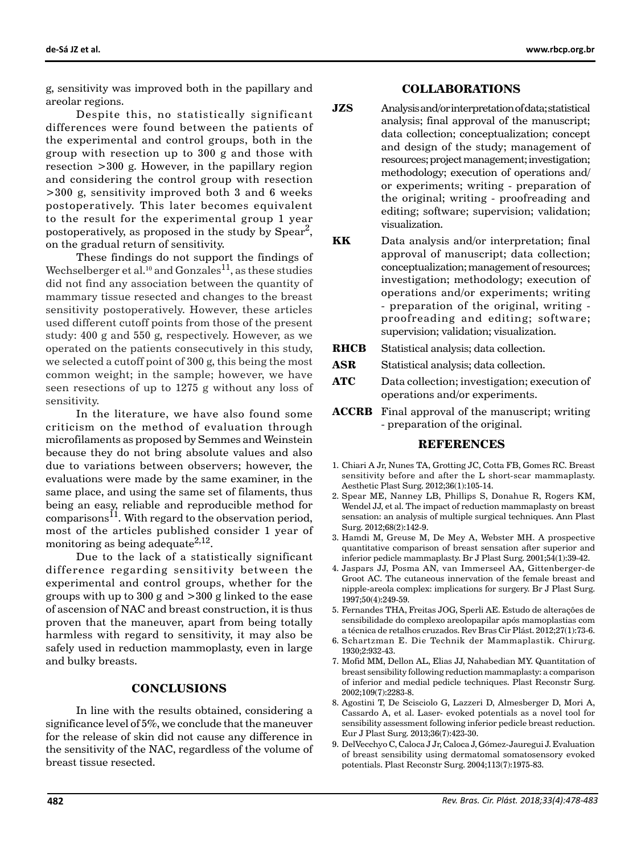g, sensitivity was improved both in the papillary and areolar regions.

Despite this, no statistically significant differences were found between the patients of the experimental and control groups, both in the group with resection up to 300 g and those with resection >300 g. However, in the papillary region and considering the control group with resection >300 g, sensitivity improved both 3 and 6 weeks postoperatively. This later becomes equivalent to the result for the experimental group 1 year postoperatively, as proposed in the study by  $Spear^2$ , on the gradual return of sensitivity.

These findings do not support the findings of Wechselberger et al.<sup>10</sup> and Gonzales<sup>11</sup>, as these studies did not find any association between the quantity of mammary tissue resected and changes to the breast sensitivity postoperatively. However, these articles used different cutoff points from those of the present study: 400 g and 550 g, respectively. However, as we operated on the patients consecutively in this study, we selected a cutoff point of 300 g, this being the most common weight; in the sample; however, we have seen resections of up to 1275 g without any loss of sensitivity.

In the literature, we have also found some criticism on the method of evaluation through microfilaments as proposed by Semmes and Weinstein because they do not bring absolute values and also due to variations between observers; however, the evaluations were made by the same examiner, in the same place, and using the same set of filaments, thus being an easy, reliable and reproducible method for  $\frac{1}{1}$ . With regard to the observation period, most of the articles published consider 1 year of monitoring as being adequate<sup>2,12</sup>.

Due to the lack of a statistically significant difference regarding sensitivity between the experimental and control groups, whether for the groups with up to 300 g and >300 g linked to the ease of ascension of NAC and breast construction, it is thus proven that the maneuver, apart from being totally harmless with regard to sensitivity, it may also be safely used in reduction mammoplasty, even in large and bulky breasts.

# **CONCLUSIONS**

In line with the results obtained, considering a significance level of 5%, we conclude that the maneuver for the release of skin did not cause any difference in the sensitivity of the NAC, regardless of the volume of breast tissue resected.

# **COLLABORATIONS**

**JZS** Analysis and/or interpretation of data; statistical analysis; final approval of the manuscript; data collection; conceptualization; concept and design of the study; management of resources; project management; investigation; methodology; execution of operations and/ or experiments; writing - preparation of the original; writing - proofreading and editing; software; supervision; validation; visualization.

**KK** Data analysis and/or interpretation; final approval of manuscript; data collection; conceptualization; management of resources; investigation; methodology; execution of operations and/or experiments; writing - preparation of the original, writing proofreading and editing; software; supervision; validation; visualization.

- **RHCB** Statistical analysis; data collection.
- **ASR** Statistical analysis; data collection.
- **ATC** Data collection; investigation; execution of operations and/or experiments.
- **ACCRB** Final approval of the manuscript; writing - preparation of the original.

# **REFERENCES**

- 1. [Chiari A Jr](https://www.ncbi.nlm.nih.gov/pubmed/?term=Chiari%20A%20Jr%5BAuthor%5D&cauthor=true&cauthor_uid=21638163), [Nunes TA](https://www.ncbi.nlm.nih.gov/pubmed/?term=Nunes%20TA%5BAuthor%5D&cauthor=true&cauthor_uid=21638163), [Grotting JC,](https://www.ncbi.nlm.nih.gov/pubmed/?term=Grotting%20JC%5BAuthor%5D&cauthor=true&cauthor_uid=21638163) [Cotta FB,](https://www.ncbi.nlm.nih.gov/pubmed/?term=Cotta%20FB%5BAuthor%5D&cauthor=true&cauthor_uid=21638163) [Gomes RC.](https://www.ncbi.nlm.nih.gov/pubmed/?term=Gomes%20RC%5BAuthor%5D&cauthor=true&cauthor_uid=21638163) Breast sensitivity before and after the L short-scar mammaplasty. [Aesthetic Plast Surg.](https://www.ncbi.nlm.nih.gov/pubmed/?term=Breast+sensivity+before+and+after+de+L+short-scar+mammaplasty.+Aesth+Plast+Surg.+2012%3B+36%3A105-114.) 2012;36(1):105-14.
- 2. Spear ME, Nanney LB, Phillips S, Donahue R, Rogers KM, Wendel JJ, et al. The impact of reduction mammaplasty on breast sensation: an analysis of multiple surgical techniques. Ann Plast Surg. 2012;68(2):142-9.
- 3. [Hamdi M](https://www.ncbi.nlm.nih.gov/pubmed/?term=Hamdi%20M%5BAuthor%5D&cauthor=true&cauthor_uid=11121316), [Greuse M](https://www.ncbi.nlm.nih.gov/pubmed/?term=Greuse%20M%5BAuthor%5D&cauthor=true&cauthor_uid=11121316), [De Mey A,](https://www.ncbi.nlm.nih.gov/pubmed/?term=De%20Mey%20A%5BAuthor%5D&cauthor=true&cauthor_uid=11121316) [Webster MH](https://www.ncbi.nlm.nih.gov/pubmed/?term=Webster%20MH%5BAuthor%5D&cauthor=true&cauthor_uid=11121316). A prospective quantitative comparison of breast sensation after superior and inferior pedicle mammaplasty. [Br J Plast Surg.](https://www.ncbi.nlm.nih.gov/pubmed/?term=3.%09Hamdi+M%2C+Greuse+M%2C+De+Mey+A%2C+Webster+MH.+A+prospective+quantitative+comparison+of+breast+sensation+after+superior+and+inferior+pedicle+mammaplasty.+Br+J+Plast+Surg.+2001%3B54(1)%3A39-42.) 2001;54(1):39-42.
- 4. [Jaspars JJ,](https://www.ncbi.nlm.nih.gov/pubmed/?term=Jaspars%20JJ%5BAuthor%5D&cauthor=true&cauthor_uid=9215081) [Posma AN,](https://www.ncbi.nlm.nih.gov/pubmed/?term=Posma%20AN%5BAuthor%5D&cauthor=true&cauthor_uid=9215081) [van Immerseel AA](https://www.ncbi.nlm.nih.gov/pubmed/?term=van%20Immerseel%20AA%5BAuthor%5D&cauthor=true&cauthor_uid=9215081), [Gittenberger-de](https://www.ncbi.nlm.nih.gov/pubmed/?term=Gittenberger-de%20Groot%20AC%5BAuthor%5D&cauthor=true&cauthor_uid=9215081) [Groot AC](https://www.ncbi.nlm.nih.gov/pubmed/?term=Gittenberger-de%20Groot%20AC%5BAuthor%5D&cauthor=true&cauthor_uid=9215081). The cutaneous innervation of the female breast and nipple-areola complex: implications for surgery. [Br J Plast Surg.](https://www.ncbi.nlm.nih.gov/pubmed/9215081) 1997;50(4):249-59.
- 5. Fernandes THA, Freitas JOG, Sperli AE. Estudo de alterações de sensibilidade do complexo areolopapilar após mamoplastias com a técnica de retalhos cruzados. Rev Bras Cir Plást. 2012;27(1):73-6.
- 6. Schartzman E. Die Technik der Mammaplastik. Chirurg. 1930;2:932-43.
- 7. [Mofid MM](https://www.ncbi.nlm.nih.gov/pubmed/?term=Mofid%20MM%5BAuthor%5D&cauthor=true&cauthor_uid=12045551), [Dellon AL](https://www.ncbi.nlm.nih.gov/pubmed/?term=Dellon%20AL%5BAuthor%5D&cauthor=true&cauthor_uid=12045551), [Elias JJ](https://www.ncbi.nlm.nih.gov/pubmed/?term=Elias%20JJ%5BAuthor%5D&cauthor=true&cauthor_uid=12045551), [Nahabedian MY](https://www.ncbi.nlm.nih.gov/pubmed/?term=Nahabedian%20MY%5BAuthor%5D&cauthor=true&cauthor_uid=12045551). Quantitation of breast sensibility following reduction mammaplasty: a comparison of inferior and medial pedicle techniques. [Plast Reconstr Surg.](https://www.ncbi.nlm.nih.gov/pubmed/?term=Quantitation+of+breast+sensibility+following+reduction+mammaplasty%3A+A+comparison+of+inferior+and+medial+pedicle+techniques.) 2002;109(7):2283-8.
- 8. Agostini T, De Scisciolo G, Lazzeri D, Almesberger D, Mori A, Cassardo A, et al. Laser- evoked potentials as a novel tool for sensibility assessment following inferior pedicle breast reduction. Eur J Plast Surg. 2013;36(7):423-30.
- 9. [DelVecchyo C](https://www.ncbi.nlm.nih.gov/pubmed/?term=DelVecchyo%20C%5BAuthor%5D&cauthor=true&cauthor_uid=15253186), [Caloca J Jr,](https://www.ncbi.nlm.nih.gov/pubmed/?term=Caloca%20J%20Jr%5BAuthor%5D&cauthor=true&cauthor_uid=15253186) [Caloca J](https://www.ncbi.nlm.nih.gov/pubmed/?term=Caloca%20J%5BAuthor%5D&cauthor=true&cauthor_uid=15253186), [Gómez-Jauregui J](https://www.ncbi.nlm.nih.gov/pubmed/?term=G%C3%B3mez-Jauregui%20J%5BAuthor%5D&cauthor=true&cauthor_uid=15253186). Evaluation of breast sensibility using dermatomal somatosensory evoked potentials. [Plast Reconstr Surg.](https://www.ncbi.nlm.nih.gov/pubmed/?term=Evaluation+of+breast+sensibility+using+dermatosomal+somatosensory+evoked+potentials.) 2004;113(7):1975-83.